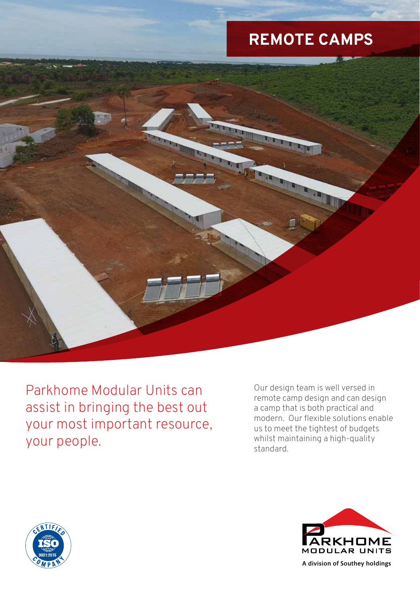# **REMOTE CAMPS**



Parkhome Modular Units can assist in bringing the best out your most important resource, your people.

Our design team is well versed in remote camp design and can design a camp that is both practical and modern. Our flexible solutions enable us to meet the tightest of budgets whilst maintaining a high-quality standard.





A division of Southey holdings